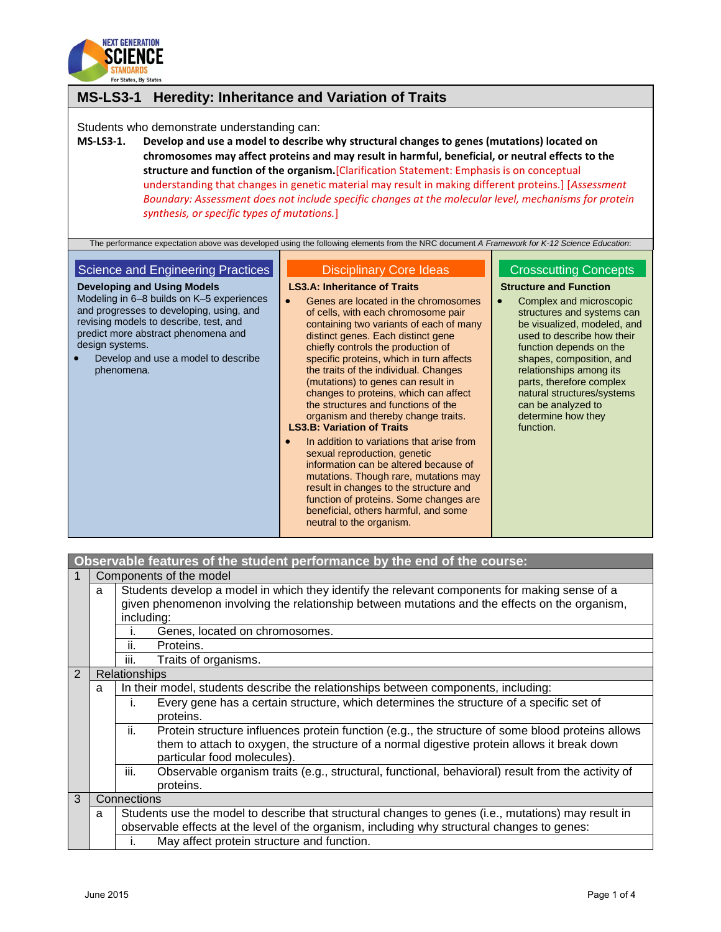

## **MS-LS3-1 Heredity: Inheritance and Variation of Traits**

Students who demonstrate understanding can:

**MS-LS3-1. Develop and use a model to describe why structural changes to genes (mutations) located on chromosomes may affect proteins and may result in harmful, beneficial, or neutral effects to the structure and function of the organism.**[Clarification Statement: Emphasis is on conceptual understanding that changes in genetic material may result in making different proteins.] [*Assessment Boundary: Assessment does not include specific changes at the molecular level, mechanisms for protein synthesis, or specific types of mutations.*]

The performance expectation above was developed using the following elements from the NRC document *A Framework for K-12 Science Education*:

#### Science and Engineering Practices

**Developing and Using Models** Modeling in 6–8 builds on K–5 experiences and progresses to developing, using, and revising models to describe, test, and predict more abstract phenomena and design systems.

 Develop and use a model to describe phenomena.

### Disciplinary Core Ideas

**LS3.A: Inheritance of Traits**

- **•** Genes are located in the chromosomes of cells, with each chromosome pair containing two variants of each of many distinct genes. Each distinct gene chiefly controls the production of specific proteins, which in turn affects the traits of the individual. Changes (mutations) to genes can result in changes to proteins, which can affect the structures and functions of the organism and thereby change traits. **LS3.B: Variation of Traits**
- In addition to variations that arise from sexual reproduction, genetic information can be altered because of mutations. Though rare, mutations may result in changes to the structure and function of proteins. Some changes are beneficial, others harmful, and some neutral to the organism.

#### Crosscutting Concepts

**Structure and Function**

• Complex and microscopic structures and systems can be visualized, modeled, and used to describe how their function depends on the shapes, composition, and relationships among its parts, therefore complex natural structures/systems can be analyzed to determine how they function.

| Observable features of the student performance by the end of the course: |                                                                                                          |                                                                                                                                                                                                                                      |  |  |  |  |
|--------------------------------------------------------------------------|----------------------------------------------------------------------------------------------------------|--------------------------------------------------------------------------------------------------------------------------------------------------------------------------------------------------------------------------------------|--|--|--|--|
|                                                                          |                                                                                                          | Components of the model                                                                                                                                                                                                              |  |  |  |  |
|                                                                          | a                                                                                                        | Students develop a model in which they identify the relevant components for making sense of a<br>given phenomenon involving the relationship between mutations and the effects on the organism,                                      |  |  |  |  |
|                                                                          |                                                                                                          | including:                                                                                                                                                                                                                           |  |  |  |  |
|                                                                          |                                                                                                          | Genes, located on chromosomes.                                                                                                                                                                                                       |  |  |  |  |
|                                                                          |                                                                                                          | ii.<br>Proteins.                                                                                                                                                                                                                     |  |  |  |  |
|                                                                          |                                                                                                          | iii.<br>Traits of organisms.                                                                                                                                                                                                         |  |  |  |  |
| 2                                                                        | Relationships                                                                                            |                                                                                                                                                                                                                                      |  |  |  |  |
|                                                                          | a                                                                                                        | In their model, students describe the relationships between components, including:                                                                                                                                                   |  |  |  |  |
|                                                                          |                                                                                                          | Every gene has a certain structure, which determines the structure of a specific set of<br>İ.<br>proteins.                                                                                                                           |  |  |  |  |
|                                                                          |                                                                                                          | ii.<br>Protein structure influences protein function (e.g., the structure of some blood proteins allows<br>them to attach to oxygen, the structure of a normal digestive protein allows it break down<br>particular food molecules). |  |  |  |  |
|                                                                          |                                                                                                          | iii.<br>Observable organism traits (e.g., structural, functional, behavioral) result from the activity of<br>proteins.                                                                                                               |  |  |  |  |
| 3                                                                        |                                                                                                          | Connections                                                                                                                                                                                                                          |  |  |  |  |
|                                                                          | Students use the model to describe that structural changes to genes (i.e., mutations) may result in<br>a |                                                                                                                                                                                                                                      |  |  |  |  |
|                                                                          | observable effects at the level of the organism, including why structural changes to genes:              |                                                                                                                                                                                                                                      |  |  |  |  |
|                                                                          |                                                                                                          | May affect protein structure and function.<br>I.                                                                                                                                                                                     |  |  |  |  |
|                                                                          |                                                                                                          |                                                                                                                                                                                                                                      |  |  |  |  |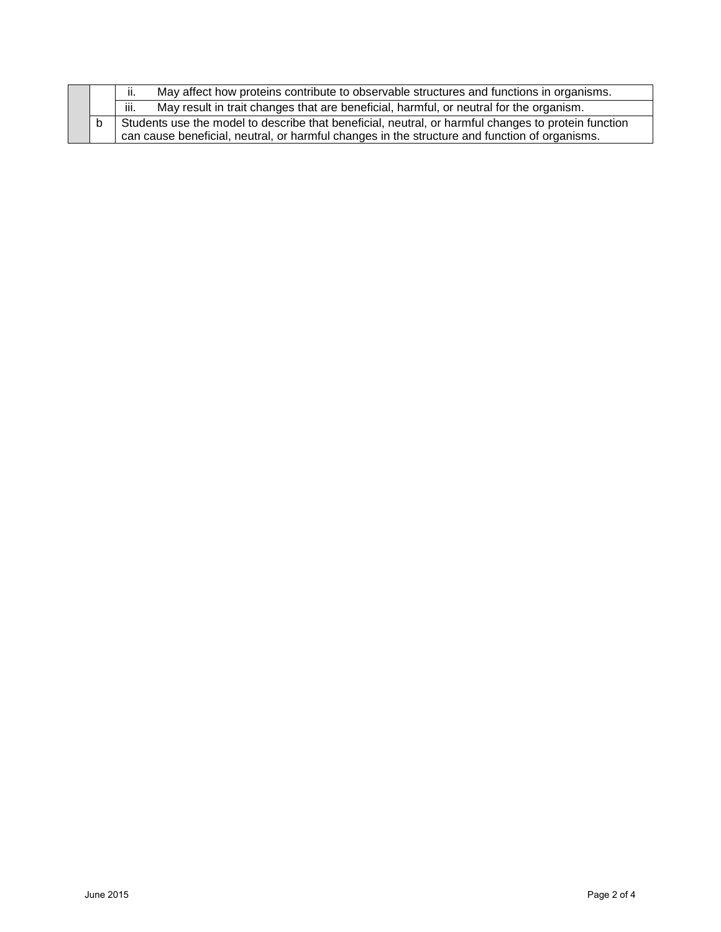|  | May affect how proteins contribute to observable structures and functions in organisms.<br>ii.                                                                                                       |
|--|------------------------------------------------------------------------------------------------------------------------------------------------------------------------------------------------------|
|  | iii.<br>May result in trait changes that are beneficial, harmful, or neutral for the organism.                                                                                                       |
|  | Students use the model to describe that beneficial, neutral, or harmful changes to protein function<br>can cause beneficial, neutral, or harmful changes in the structure and function of organisms. |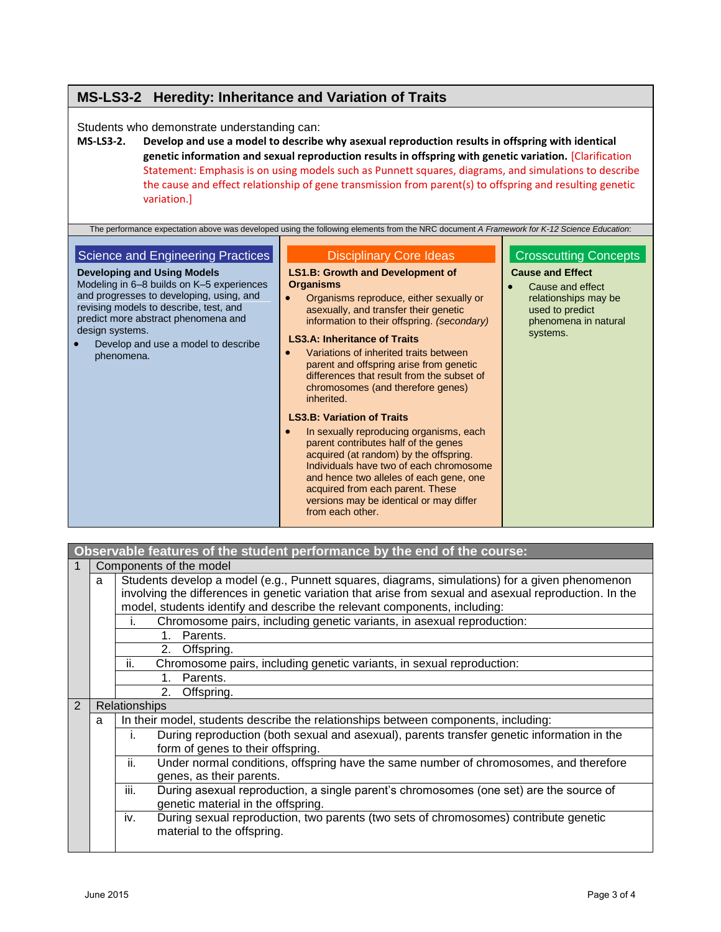# **MS-LS3-2 Heredity: Inheritance and Variation of Traits**

Students who demonstrate understanding can:

**MS-LS3-2. Develop and use a model to describe why asexual reproduction results in offspring with identical genetic information and sexual reproduction results in offspring with genetic variation.** [Clarification Statement: Emphasis is on using models such as Punnett squares, diagrams, and simulations to describe the cause and effect relationship of gene transmission from parent(s) to offspring and resulting genetic variation.]

| The performance expectation above was developed using the following elements from the NRC document A Framework for K-12 Science Education:                                                                                                                                                                                |                                                                                                                                                                                                                                                                                                                                                                                                                                                                                                                                                                                                                                                                                                                                                                                                                          |                                                                                                                                                            |  |  |
|---------------------------------------------------------------------------------------------------------------------------------------------------------------------------------------------------------------------------------------------------------------------------------------------------------------------------|--------------------------------------------------------------------------------------------------------------------------------------------------------------------------------------------------------------------------------------------------------------------------------------------------------------------------------------------------------------------------------------------------------------------------------------------------------------------------------------------------------------------------------------------------------------------------------------------------------------------------------------------------------------------------------------------------------------------------------------------------------------------------------------------------------------------------|------------------------------------------------------------------------------------------------------------------------------------------------------------|--|--|
| Science and Engineering Practices<br><b>Developing and Using Models</b><br>Modeling in 6–8 builds on K–5 experiences<br>and progresses to developing, using, and<br>revising models to describe, test, and<br>predict more abstract phenomena and<br>design systems.<br>Develop and use a model to describe<br>phenomena. | <b>Disciplinary Core Ideas</b><br><b>LS1.B: Growth and Development of</b><br><b>Organisms</b><br>Organisms reproduce, either sexually or<br>asexually, and transfer their genetic<br>information to their offspring. (secondary)<br><b>LS3.A: Inheritance of Traits</b><br>Variations of inherited traits between<br>parent and offspring arise from genetic<br>differences that result from the subset of<br>chromosomes (and therefore genes)<br>inherited.<br><b>LS3.B: Variation of Traits</b><br>In sexually reproducing organisms, each<br>parent contributes half of the genes<br>acquired (at random) by the offspring.<br>Individuals have two of each chromosome<br>and hence two alleles of each gene, one<br>acquired from each parent. These<br>versions may be identical or may differ<br>from each other. | <b>Crosscutting Concepts</b><br><b>Cause and Effect</b><br>Cause and effect<br>relationships may be<br>used to predict<br>phenomena in natural<br>systems. |  |  |

|   | Observable features of the student performance by the end of the course:     |                                                                                                                                                                                                                                                                                       |  |  |  |  |
|---|------------------------------------------------------------------------------|---------------------------------------------------------------------------------------------------------------------------------------------------------------------------------------------------------------------------------------------------------------------------------------|--|--|--|--|
|   |                                                                              | Components of the model                                                                                                                                                                                                                                                               |  |  |  |  |
|   | a                                                                            | Students develop a model (e.g., Punnett squares, diagrams, simulations) for a given phenomenon<br>involving the differences in genetic variation that arise from sexual and asexual reproduction. In the<br>model, students identify and describe the relevant components, including: |  |  |  |  |
|   |                                                                              | Chromosome pairs, including genetic variants, in asexual reproduction:<br>i.                                                                                                                                                                                                          |  |  |  |  |
|   |                                                                              | Parents.<br>$1_{-}$                                                                                                                                                                                                                                                                   |  |  |  |  |
|   |                                                                              | Offspring.<br>2.                                                                                                                                                                                                                                                                      |  |  |  |  |
|   | ii.<br>Chromosome pairs, including genetic variants, in sexual reproduction: |                                                                                                                                                                                                                                                                                       |  |  |  |  |
|   |                                                                              | Parents.<br>1.                                                                                                                                                                                                                                                                        |  |  |  |  |
|   |                                                                              | Offspring.<br>2.                                                                                                                                                                                                                                                                      |  |  |  |  |
| 2 | <b>Relationships</b>                                                         |                                                                                                                                                                                                                                                                                       |  |  |  |  |
|   | a                                                                            | In their model, students describe the relationships between components, including:                                                                                                                                                                                                    |  |  |  |  |
|   |                                                                              | During reproduction (both sexual and asexual), parents transfer genetic information in the<br>İ.<br>form of genes to their offspring.                                                                                                                                                 |  |  |  |  |
|   |                                                                              | ii.<br>Under normal conditions, offspring have the same number of chromosomes, and therefore<br>genes, as their parents.                                                                                                                                                              |  |  |  |  |
|   |                                                                              | iii.<br>During asexual reproduction, a single parent's chromosomes (one set) are the source of<br>genetic material in the offspring.                                                                                                                                                  |  |  |  |  |
|   |                                                                              | During sexual reproduction, two parents (two sets of chromosomes) contribute genetic<br>iv.<br>material to the offspring.                                                                                                                                                             |  |  |  |  |